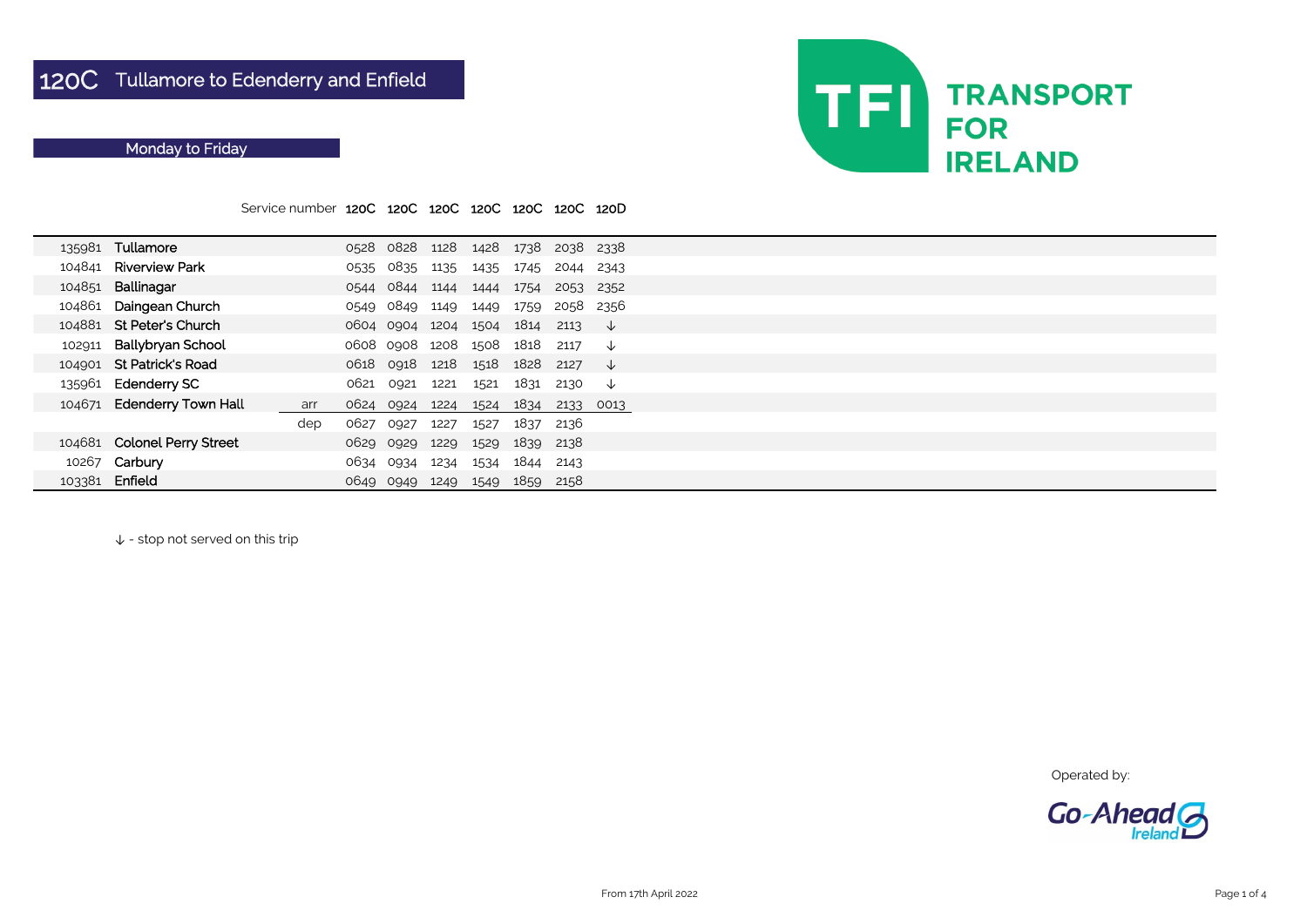|        |                             | Service number 120C 120C 120C 120C 120C |      |                |      |      |           | 120C 120D |      |  |
|--------|-----------------------------|-----------------------------------------|------|----------------|------|------|-----------|-----------|------|--|
|        | 135981 Tullamore            |                                         |      | 0528 0828 1128 |      |      | 1428 1738 | 2038 2338 |      |  |
| 104841 | <b>Riverview Park</b>       |                                         | 0535 | 0835           | 1135 | 1435 | 1745      | 2044      | 2343 |  |
| 104851 | Ballinagar                  |                                         | 0544 | 0844 1144      |      | 1444 | 1754      | 2053 2352 |      |  |
| 104861 | Daingean Church             |                                         | 0549 | 0849           | 1149 | 1449 | 1759      | 2058      | 2356 |  |
| 104881 | <b>St Peter's Church</b>    |                                         |      | 0604 0904 1204 |      | 1504 | 1814      | 2113      | √√   |  |
| 102911 | <b>Ballybryan School</b>    |                                         |      | 0608 0908 1208 |      | 1508 | 1818      | 2117      | ↓    |  |
| 104901 | <b>St Patrick's Road</b>    |                                         | 0618 | 0918           | 1218 | 1518 | 1828      | 2127      | ↓    |  |
|        | 135961 Edenderry SC         |                                         | 0621 | 0921           | 1221 | 1521 | 1831      | 2130      | ↓    |  |
|        | 104671 Edenderry Town Hall  | arr                                     | 0624 | 0924           | 1224 | 1524 | 1834      | 2133      | 0013 |  |
|        |                             | dep                                     | 0627 | 0927           | 1227 | 1527 | 1837      | 2136      |      |  |
|        | 104681 Colonel Perry Street |                                         |      | 0629 0929      | 1229 | 1529 | 1839      | 2138      |      |  |
|        | 10267 Carbury               |                                         | 0634 | 0934           | 1234 | 1534 | 1844      | 2143      |      |  |
| 103381 | Enfield                     |                                         | 0649 | 0949           | 1249 | 1549 | 1859      | 2158      |      |  |

↓ - stop not served on this trip

Operated by:



## Monday to Friday

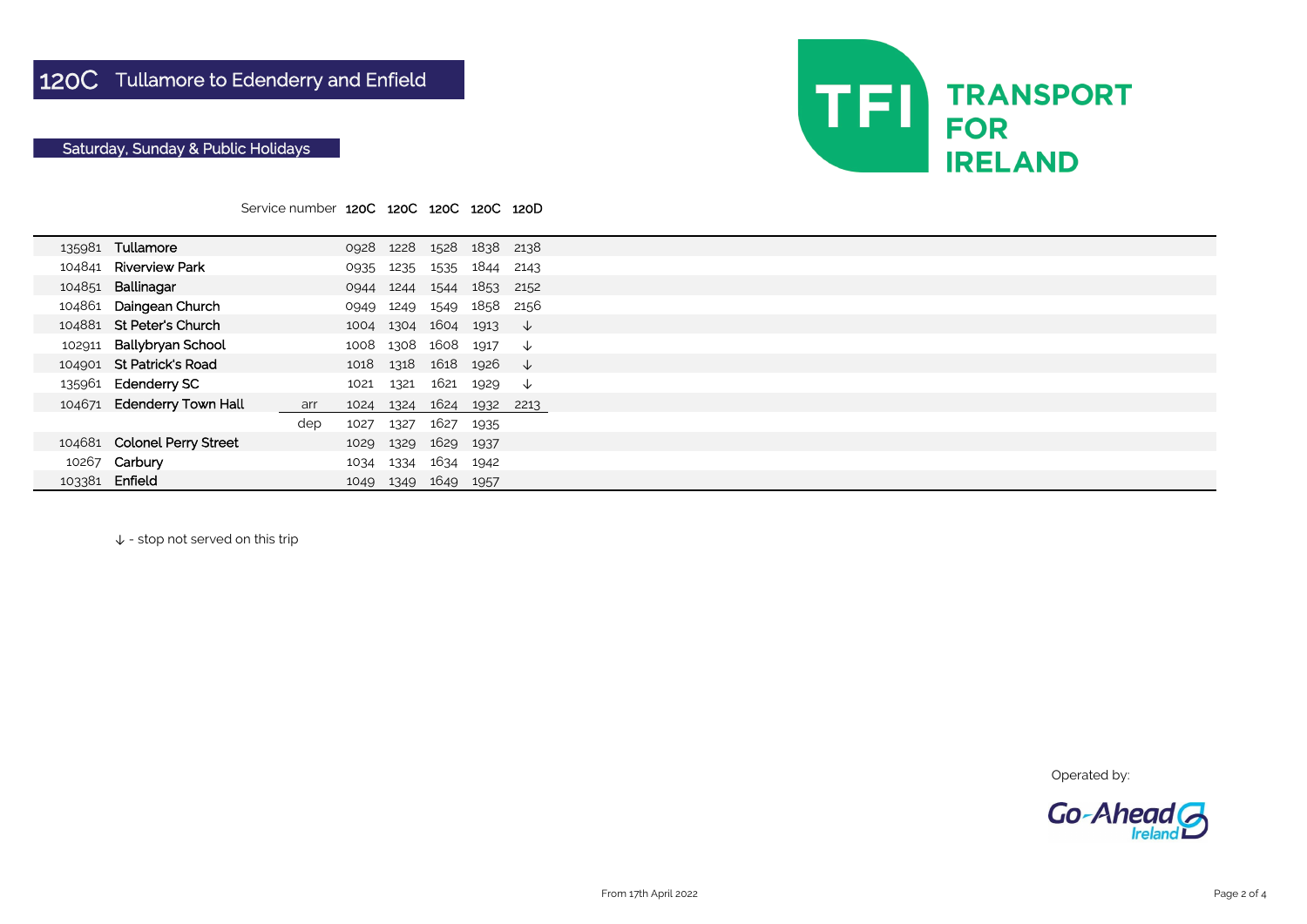|        |                             | Service number 120C 120C 120C 120C 120D |      |           |                |           |              |  |
|--------|-----------------------------|-----------------------------------------|------|-----------|----------------|-----------|--------------|--|
|        |                             |                                         |      |           |                |           |              |  |
|        | 135981 Tullamore            |                                         |      | 0928 1228 |                | 1528 1838 | 2138         |  |
|        | 104841 Riverview Park       |                                         | 0935 | 1235      |                | 1535 1844 | 2143         |  |
| 104851 | Ballinagar                  |                                         | 0944 | 1244      | 1544           | 1853      | 2152         |  |
| 104861 | Daingean Church             |                                         | 0949 | 1249      |                | 1549 1858 | 2156         |  |
|        | 104881 St Peter's Church    |                                         | 1004 |           | 1304 1604 1913 |           | $\downarrow$ |  |
| 102911 | <b>Ballybryan School</b>    |                                         | 1008 |           | 1308 1608 1917 |           | ↓            |  |
|        | 104901 St Patrick's Road    |                                         | 1018 | 1318      | 1618 1926      |           | $\downarrow$ |  |
|        | 135961 Edenderry SC         |                                         | 1021 | 1321      | 1621 1929      |           | $\downarrow$ |  |
|        | 104671 Edenderry Town Hall  | arr                                     | 1024 | 1324      | 1624           | 1932      | 2213         |  |
|        |                             | dep                                     | 1027 | 1327      | 1627           | 1935      |              |  |
|        | 104681 Colonel Perry Street |                                         | 1029 | 1329      | 1629           | 1937      |              |  |
|        | 10267 Carbury               |                                         | 1034 | 1334      | 1634           | 1942      |              |  |
| 103381 | Enfield                     |                                         | 1049 | 1349      | 1649           | 1957      |              |  |

↓ - stop not served on this trip

Operated by:



## Saturday, Sunday & Public Holidays

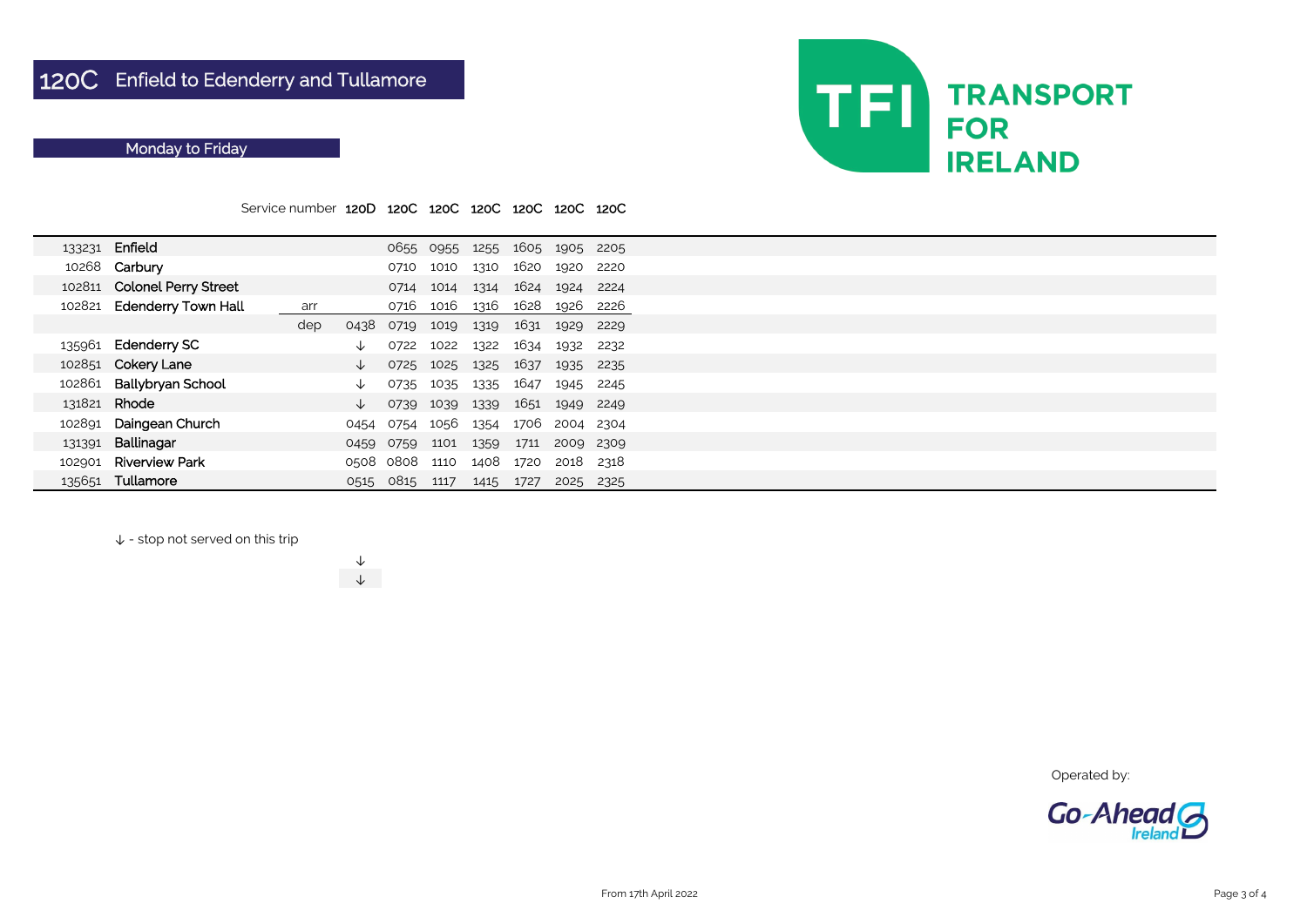Service number 120D 120C 120C 120C 120C 120C 120C

↓ - stop not served on this trip

| 133231 | Enfield                     |     |      |           | 0655 0955 | 1255 | 1605 1905 |           | 2205 |
|--------|-----------------------------|-----|------|-----------|-----------|------|-----------|-----------|------|
|        | 10268 Carbury               |     |      | 0710      | 1010      | 1310 | 1620      | 1920      | 2220 |
| 102811 | <b>Colonel Perry Street</b> |     |      | 0714      | 1014      | 1314 | 1624      | 1924      | 2224 |
| 102821 | <b>Edenderry Town Hall</b>  | arr |      | 0716      | 1016      | 1316 | 1628      | 1926      | 2226 |
|        |                             | dep | 0438 | 0719      | 1019      | 1319 | 1631      | 1929      | 2229 |
| 135961 | <b>Edenderry SC</b>         |     | ◡    | 0722      | 1022      | 1322 | 1634      | 1932      | 2232 |
|        | 102851 Cokery Lane          |     | ↓    | 0725      | 1025      | 1325 | 1637      | 1935      | 2235 |
| 102861 | <b>Ballybryan School</b>    |     | ↓    | 0735      | 1035      | 1335 | 1647      | 1945      | 2245 |
| 131821 | Rhode                       |     | ↓    | 0739      | 1039      | 1339 | 1651      | 1949      | 2249 |
| 102891 | Daingean Church             |     | 0454 | 0754      | 1056      | 1354 | 1706      | 2004 2304 |      |
| 131391 | Ballinagar                  |     | 0459 | 0759      | 1101      | 1359 | 1711      | 2009 2309 |      |
| 102901 | <b>Riverview Park</b>       |     |      | 0508 0808 | 1110      | 1408 | 1720      | 2018      | 2318 |
| 135651 | Tullamore                   |     | 0515 | 0815      | 1117      | 1415 | 1727      | 2025      | 2325 |

↓ ↓



Operated by:



## Monday to Friday